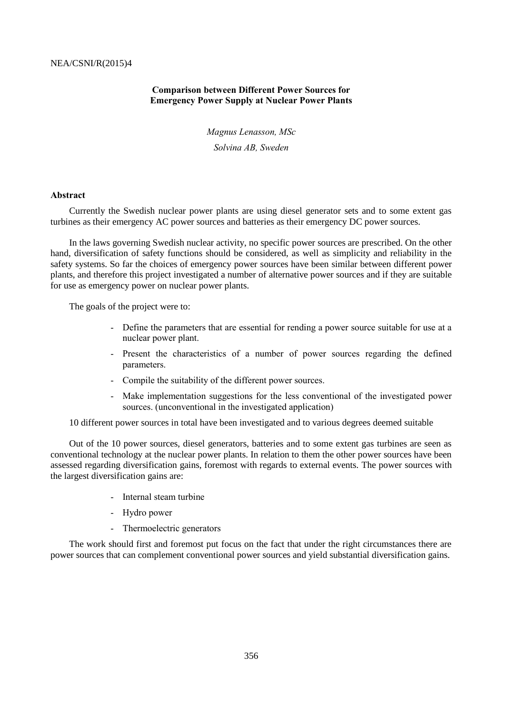## **Comparison between Different Power Sources for Emergency Power Supply at Nuclear Power Plants**

*Magnus Lenasson, MSc Solvina AB, Sweden*

#### **Abstract**

Currently the Swedish nuclear power plants are using diesel generator sets and to some extent gas turbines as their emergency AC power sources and batteries as their emergency DC power sources.

In the laws governing Swedish nuclear activity, no specific power sources are prescribed. On the other hand, diversification of safety functions should be considered, as well as simplicity and reliability in the safety systems. So far the choices of emergency power sources have been similar between different power plants, and therefore this project investigated a number of alternative power sources and if they are suitable for use as emergency power on nuclear power plants.

The goals of the project were to:

- Define the parameters that are essential for rending a power source suitable for use at a nuclear power plant.
- Present the characteristics of a number of power sources regarding the defined parameters.
- Compile the suitability of the different power sources.
- Make implementation suggestions for the less conventional of the investigated power sources. (unconventional in the investigated application)

10 different power sources in total have been investigated and to various degrees deemed suitable

Out of the 10 power sources, diesel generators, batteries and to some extent gas turbines are seen as conventional technology at the nuclear power plants. In relation to them the other power sources have been assessed regarding diversification gains, foremost with regards to external events. The power sources with the largest diversification gains are:

- Internal steam turbine
- Hydro power
- Thermoelectric generators

The work should first and foremost put focus on the fact that under the right circumstances there are power sources that can complement conventional power sources and yield substantial diversification gains.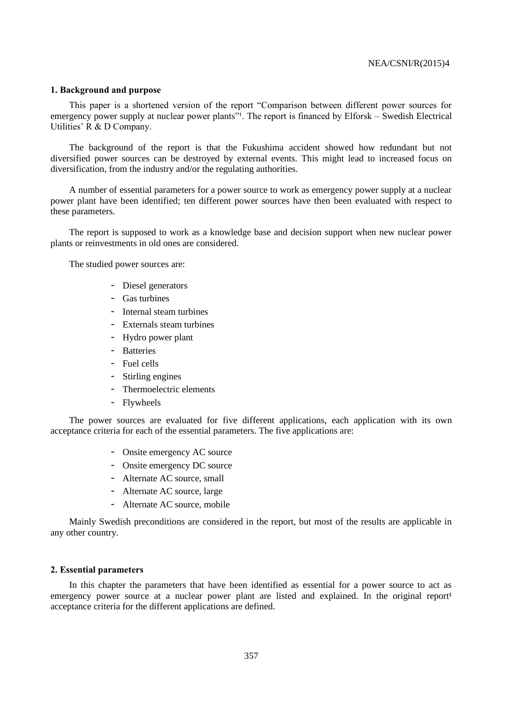#### **1. Background and purpose**

This paper is a shortened version of the report "Comparison between different power sources for emergency power supply at nuclear power plants"<sup>1</sup>. The report is financed by Elforsk – Swedish Electrical Utilities' R & D Company.

The background of the report is that the Fukushima accident showed how redundant but not diversified power sources can be destroyed by external events. This might lead to increased focus on diversification, from the industry and/or the regulating authorities.

A number of essential parameters for a power source to work as emergency power supply at a nuclear power plant have been identified; ten different power sources have then been evaluated with respect to these parameters.

The report is supposed to work as a knowledge base and decision support when new nuclear power plants or reinvestments in old ones are considered.

The studied power sources are:

- Diesel generators
- Gas turbines
- Internal steam turbines
- Externals steam turbines
- Hydro power plant
- Batteries
- Fuel cells
- Stirling engines
- Thermoelectric elements
- Flywheels

The power sources are evaluated for five different applications, each application with its own acceptance criteria for each of the essential parameters. The five applications are:

- Onsite emergency AC source
- Onsite emergency DC source
- Alternate AC source, small
- Alternate AC source, large
- Alternate AC source, mobile

Mainly Swedish preconditions are considered in the report, but most of the results are applicable in any other country.

#### **2. Essential parameters**

In this chapter the parameters that have been identified as essential for a power source to act as emergency power source at a nuclear power plant are listed and explained. In the original report<sup>1</sup> acceptance criteria for the different applications are defined.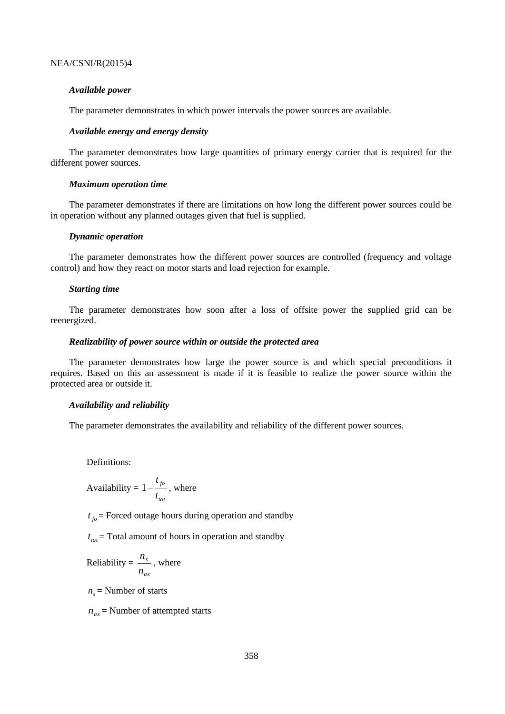#### *Available power*

The parameter demonstrates in which power intervals the power sources are available.

#### *Available energy and energy density*

The parameter demonstrates how large quantities of primary energy carrier that is required for the different power sources.

#### *Maximum operation time*

The parameter demonstrates if there are limitations on how long the different power sources could be in operation without any planned outages given that fuel is supplied.

## *Dynamic operation*

The parameter demonstrates how the different power sources are controlled (frequency and voltage control) and how they react on motor starts and load rejection for example.

#### *Starting time*

The parameter demonstrates how soon after a loss of offsite power the supplied grid can be reenergized.

#### *Realizability of power source within or outside the protected area*

The parameter demonstrates how large the power source is and which special preconditions it requires. Based on this an assessment is made if it is feasible to realize the power source within the protected area or outside it.

## *Availability and reliability*

The parameter demonstrates the availability and reliability of the different power sources.

Definitions:

$$
\\\text{Availability} = 1 - \frac{t_{fo}}{t_{tot}} \text{, where}
$$

 $t_{fo}$  = Forced outage hours during operation and standby

 $t_{tot}$  = Total amount of hours in operation and standby

Reliability = 
$$
\frac{n_s}{n_{as}}
$$
, where

 $n<sub>s</sub>$  = Number of starts

*nas* = Number of attempted starts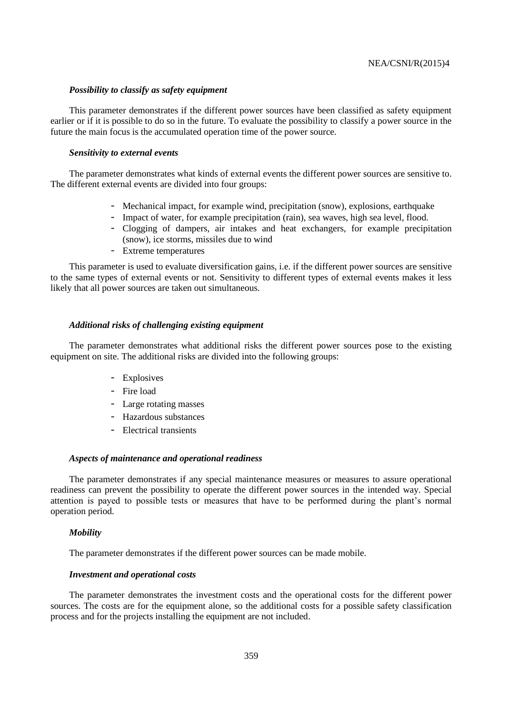#### *Possibility to classify as safety equipment*

This parameter demonstrates if the different power sources have been classified as safety equipment earlier or if it is possible to do so in the future. To evaluate the possibility to classify a power source in the future the main focus is the accumulated operation time of the power source.

### *Sensitivity to external events*

The parameter demonstrates what kinds of external events the different power sources are sensitive to. The different external events are divided into four groups:

- Mechanical impact, for example wind, precipitation (snow), explosions, earthquake
- Impact of water, for example precipitation (rain), sea waves, high sea level, flood.
- Clogging of dampers, air intakes and heat exchangers, for example precipitation (snow), ice storms, missiles due to wind
- Extreme temperatures

This parameter is used to evaluate diversification gains, i.e. if the different power sources are sensitive to the same types of external events or not. Sensitivity to different types of external events makes it less likely that all power sources are taken out simultaneous.

#### *Additional risks of challenging existing equipment*

The parameter demonstrates what additional risks the different power sources pose to the existing equipment on site. The additional risks are divided into the following groups:

- Explosives
- Fire load
- Large rotating masses
- Hazardous substances
- Electrical transients

#### *Aspects of maintenance and operational readiness*

The parameter demonstrates if any special maintenance measures or measures to assure operational readiness can prevent the possibility to operate the different power sources in the intended way. Special attention is payed to possible tests or measures that have to be performed during the plant's normal operation period.

#### *Mobility*

The parameter demonstrates if the different power sources can be made mobile.

## *Investment and operational costs*

The parameter demonstrates the investment costs and the operational costs for the different power sources. The costs are for the equipment alone, so the additional costs for a possible safety classification process and for the projects installing the equipment are not included.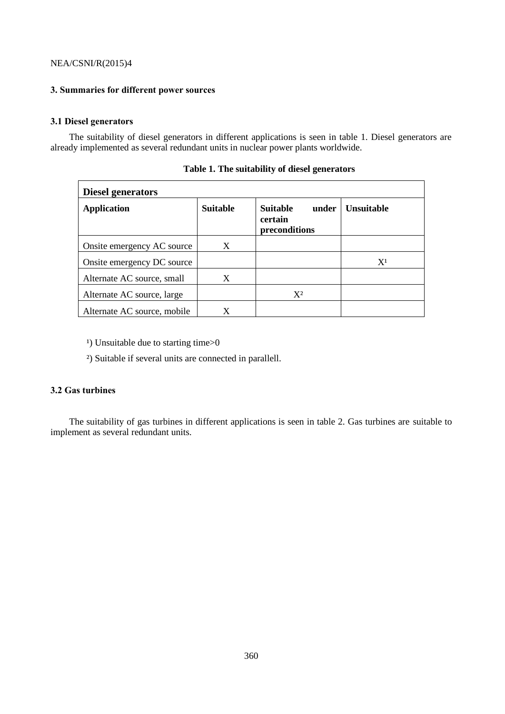## **3. Summaries for different power sources**

# **3.1 Diesel generators**

The suitability of diesel generators in different applications is seen in table 1. Diesel generators are already implemented as several redundant units in nuclear power plants worldwide.

| <b>Diesel generators</b>    |                 |                                                      |                   |  |  |
|-----------------------------|-----------------|------------------------------------------------------|-------------------|--|--|
| <b>Application</b>          | <b>Suitable</b> | <b>Suitable</b><br>under<br>certain<br>preconditions | <b>Unsuitable</b> |  |  |
| Onsite emergency AC source  | X               |                                                      |                   |  |  |
| Onsite emergency DC source  |                 |                                                      | $X^1$             |  |  |
| Alternate AC source, small  | X               |                                                      |                   |  |  |
| Alternate AC source, large  |                 | $X^2$                                                |                   |  |  |
| Alternate AC source, mobile | X               |                                                      |                   |  |  |

**Table 1. The suitability of diesel generators**

<sup>1</sup>) Unsuitable due to starting time>0

²) Suitable if several units are connected in parallell.

## **3.2 Gas turbines**

The suitability of gas turbines in different applications is seen in table 2. Gas turbines are suitable to implement as several redundant units.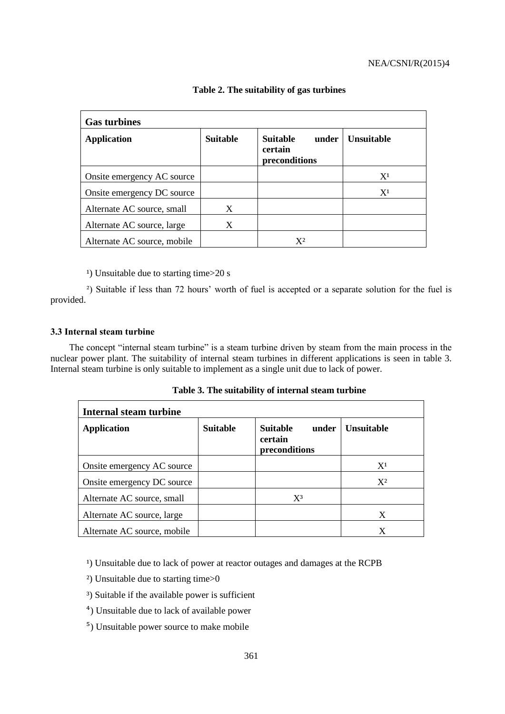| <b>Gas turbines</b>         |                 |                                                      |                   |  |  |
|-----------------------------|-----------------|------------------------------------------------------|-------------------|--|--|
| <b>Application</b>          | <b>Suitable</b> | <b>Suitable</b><br>under<br>certain<br>preconditions | <b>Unsuitable</b> |  |  |
| Onsite emergency AC source  |                 |                                                      | $X^1$             |  |  |
| Onsite emergency DC source  |                 |                                                      | X <sup>1</sup>    |  |  |
| Alternate AC source, small  | X               |                                                      |                   |  |  |
| Alternate AC source, large  | X               |                                                      |                   |  |  |
| Alternate AC source, mobile |                 | $\mathrm{X}^2$                                       |                   |  |  |

## **Table 2. The suitability of gas turbines**

 $\alpha$ ) Unsuitable due to starting time $>$ 20 s

<sup>2</sup>) Suitable if less than 72 hours' worth of fuel is accepted or a separate solution for the fuel is provided.

## **3.3 Internal steam turbine**

The concept "internal steam turbine" is a steam turbine driven by steam from the main process in the nuclear power plant. The suitability of internal steam turbines in different applications is seen in table 3. Internal steam turbine is only suitable to implement as a single unit due to lack of power.

| Internal steam turbine      |                 |                                                      |                   |  |  |
|-----------------------------|-----------------|------------------------------------------------------|-------------------|--|--|
| <b>Application</b>          | <b>Suitable</b> | <b>Suitable</b><br>under<br>certain<br>preconditions | <b>Unsuitable</b> |  |  |
| Onsite emergency AC source  |                 |                                                      | $X^1$             |  |  |
| Onsite emergency DC source  |                 |                                                      | $X^2$             |  |  |
| Alternate AC source, small  |                 | $X^3$                                                |                   |  |  |
| Alternate AC source, large  |                 |                                                      | X                 |  |  |
| Alternate AC source, mobile |                 |                                                      | X                 |  |  |

**Table 3. The suitability of internal steam turbine**

<sup>1</sup>) Unsuitable due to lack of power at reactor outages and damages at the RCPB

- ²) Unsuitable due to starting time>0
- ³) Suitable if the available power is sufficient
- ⁴) Unsuitable due to lack of available power
- ⁵) Unsuitable power source to make mobile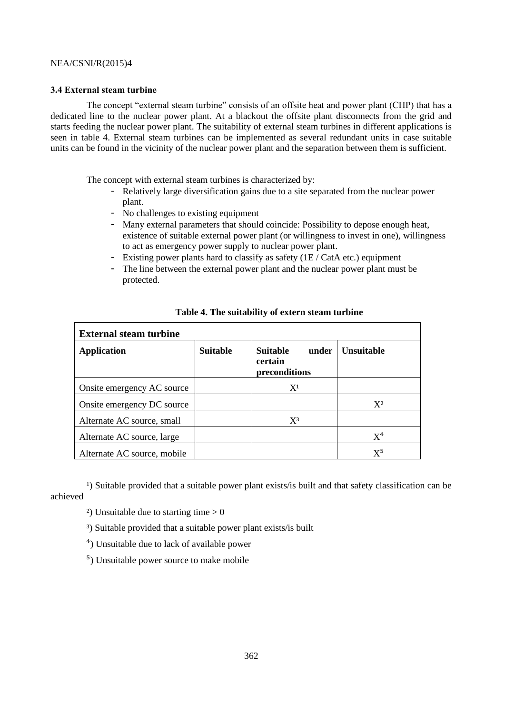## **3.4 External steam turbine**

The concept "external steam turbine" consists of an offsite heat and power plant (CHP) that has a dedicated line to the nuclear power plant. At a blackout the offsite plant disconnects from the grid and starts feeding the nuclear power plant. The suitability of external steam turbines in different applications is seen in table 4. External steam turbines can be implemented as several redundant units in case suitable units can be found in the vicinity of the nuclear power plant and the separation between them is sufficient.

The concept with external steam turbines is characterized by:

- Relatively large diversification gains due to a site separated from the nuclear power plant.
- No challenges to existing equipment
- Many external parameters that should coincide: Possibility to depose enough heat, existence of suitable external power plant (or willingness to invest in one), willingness to act as emergency power supply to nuclear power plant.
- Existing power plants hard to classify as safety (1E / CatA etc.) equipment
- The line between the external power plant and the nuclear power plant must be protected.

| <b>External steam turbine</b> |                 |                                                      |                   |  |
|-------------------------------|-----------------|------------------------------------------------------|-------------------|--|
| <b>Application</b>            | <b>Suitable</b> | <b>Suitable</b><br>under<br>certain<br>preconditions | <b>Unsuitable</b> |  |
| Onsite emergency AC source    |                 | $X^1$                                                |                   |  |
| Onsite emergency DC source    |                 |                                                      | $X^2$             |  |
| Alternate AC source, small    |                 | $X^3$                                                |                   |  |
| Alternate AC source, large    |                 |                                                      | $X^4$             |  |
| Alternate AC source, mobile   |                 |                                                      | $X^5$             |  |

# **Table 4. The suitability of extern steam turbine**

<sup>1</sup>) Suitable provided that a suitable power plant exists/is built and that safety classification can be achieved

- <sup>2</sup>) Unsuitable due to starting time  $> 0$
- ³) Suitable provided that a suitable power plant exists/is built

⁴) Unsuitable due to lack of available power

⁵) Unsuitable power source to make mobile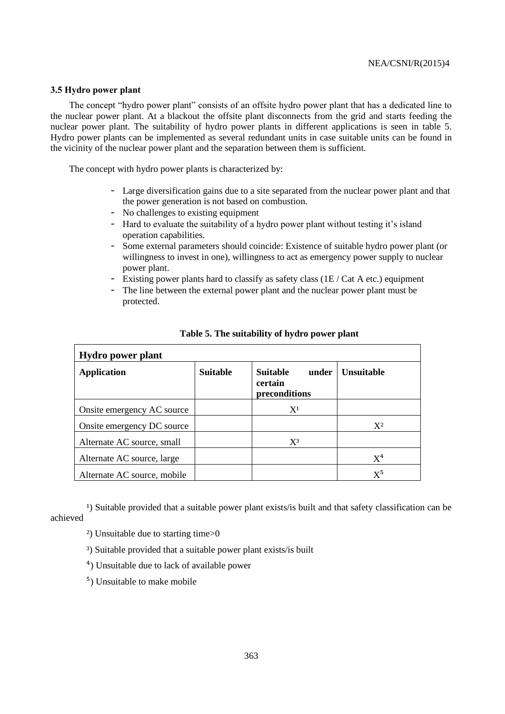#### **3.5 Hydro power plant**

The concept "hydro power plant" consists of an offsite hydro power plant that has a dedicated line to the nuclear power plant. At a blackout the offsite plant disconnects from the grid and starts feeding the nuclear power plant. The suitability of hydro power plants in different applications is seen in table 5. Hydro power plants can be implemented as several redundant units in case suitable units can be found in the vicinity of the nuclear power plant and the separation between them is sufficient.

The concept with hydro power plants is characterized by:

- Large diversification gains due to a site separated from the nuclear power plant and that the power generation is not based on combustion.
- No challenges to existing equipment
- Hard to evaluate the suitability of a hydro power plant without testing it's island operation capabilities.
- Some external parameters should coincide: Existence of suitable hydro power plant (or willingness to invest in one), willingness to act as emergency power supply to nuclear power plant.
- Existing power plants hard to classify as safety class (1E / Cat A etc.) equipment
- The line between the external power plant and the nuclear power plant must be protected.

| <b>Hydro</b> power plant    |                 |                                                      |                   |  |  |
|-----------------------------|-----------------|------------------------------------------------------|-------------------|--|--|
| <b>Application</b>          | <b>Suitable</b> | <b>Suitable</b><br>under<br>certain<br>preconditions | <b>Unsuitable</b> |  |  |
| Onsite emergency AC source  |                 | $X^1$                                                |                   |  |  |
| Onsite emergency DC source  |                 |                                                      | $X^2$             |  |  |
| Alternate AC source, small  |                 | $X^3$                                                |                   |  |  |
| Alternate AC source, large  |                 |                                                      | $X^4$             |  |  |
| Alternate AC source, mobile |                 |                                                      | $X^5$             |  |  |

**Table 5. The suitability of hydro power plant**

<sup>1</sup>) Suitable provided that a suitable power plant exists/is built and that safety classification can be achieved

- ²) Unsuitable due to starting time>0
- ³) Suitable provided that a suitable power plant exists/is built
- ⁴) Unsuitable due to lack of available power
- ⁵) Unsuitable to make mobile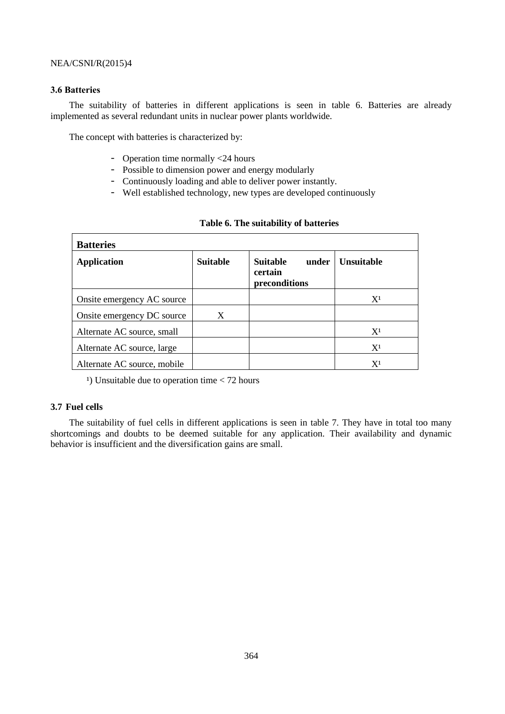# **3.6 Batteries**

The suitability of batteries in different applications is seen in table 6. Batteries are already implemented as several redundant units in nuclear power plants worldwide.

The concept with batteries is characterized by:

- Operation time normally <24 hours
- Possible to dimension power and energy modularly
- Continuously loading and able to deliver power instantly.
- Well established technology, new types are developed continuously

| <b>Batteries</b>            |                 |                                                      |                   |  |  |
|-----------------------------|-----------------|------------------------------------------------------|-------------------|--|--|
| <b>Application</b>          | <b>Suitable</b> | <b>Suitable</b><br>under<br>certain<br>preconditions | <b>Unsuitable</b> |  |  |
| Onsite emergency AC source  |                 |                                                      | $X^1$             |  |  |
| Onsite emergency DC source  | X               |                                                      |                   |  |  |
| Alternate AC source, small  |                 |                                                      | $X^1$             |  |  |
| Alternate AC source, large  |                 |                                                      | $X^1$             |  |  |
| Alternate AC source, mobile |                 |                                                      | $X^1$             |  |  |

## **Table 6. The suitability of batteries**

<sup>1</sup>) Unsuitable due to operation time  $<$  72 hours

#### **3.7 Fuel cells**

The suitability of fuel cells in different applications is seen in table 7. They have in total too many shortcomings and doubts to be deemed suitable for any application. Their availability and dynamic behavior is insufficient and the diversification gains are small.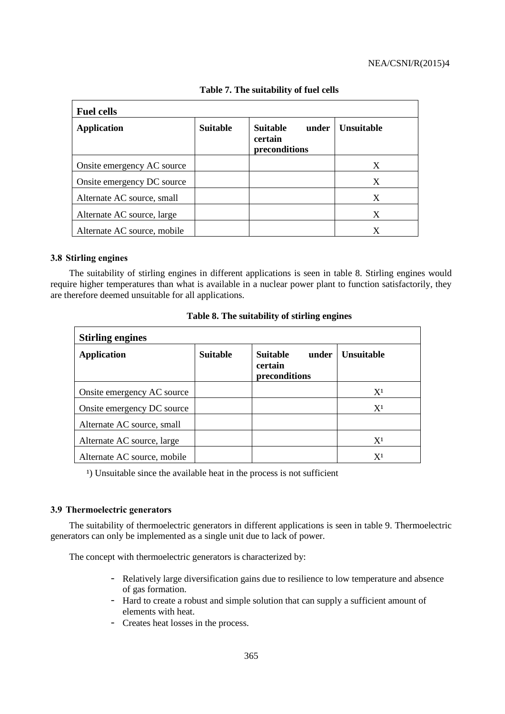| <b>Fuel cells</b>           |                 |                                                      |                   |  |
|-----------------------------|-----------------|------------------------------------------------------|-------------------|--|
| <b>Application</b>          | <b>Suitable</b> | <b>Suitable</b><br>under<br>certain<br>preconditions | <b>Unsuitable</b> |  |
| Onsite emergency AC source  |                 |                                                      | X                 |  |
| Onsite emergency DC source  |                 |                                                      | X                 |  |
| Alternate AC source, small  |                 |                                                      | X                 |  |
| Alternate AC source, large  |                 |                                                      | X                 |  |
| Alternate AC source, mobile |                 |                                                      | X                 |  |

**Table 7. The suitability of fuel cells**

# **3.8 Stirling engines**

The suitability of stirling engines in different applications is seen in table 8. Stirling engines would require higher temperatures than what is available in a nuclear power plant to function satisfactorily, they are therefore deemed unsuitable for all applications.

| <b>Stirling engines</b>     |                 |                                                      |                   |  |  |
|-----------------------------|-----------------|------------------------------------------------------|-------------------|--|--|
| <b>Application</b>          | <b>Suitable</b> | <b>Suitable</b><br>under<br>certain<br>preconditions | <b>Unsuitable</b> |  |  |
| Onsite emergency AC source  |                 |                                                      | $X^1$             |  |  |
| Onsite emergency DC source  |                 |                                                      | X <sup>1</sup>    |  |  |
| Alternate AC source, small  |                 |                                                      |                   |  |  |
| Alternate AC source, large  |                 |                                                      | $X^1$             |  |  |
| Alternate AC source, mobile |                 |                                                      | X <sup>1</sup>    |  |  |

|  | Table 8. The suitability of stirling engines |  |  |
|--|----------------------------------------------|--|--|
|  |                                              |  |  |

<sup>1</sup>) Unsuitable since the available heat in the process is not sufficient

# **3.9 Thermoelectric generators**

The suitability of thermoelectric generators in different applications is seen in table 9. Thermoelectric generators can only be implemented as a single unit due to lack of power.

The concept with thermoelectric generators is characterized by:

- Relatively large diversification gains due to resilience to low temperature and absence of gas formation.
- Hard to create a robust and simple solution that can supply a sufficient amount of elements with heat.
- Creates heat losses in the process.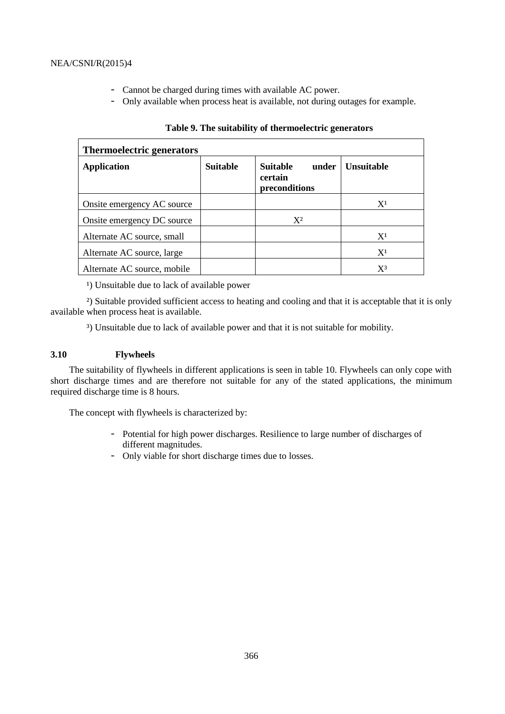- Cannot be charged during times with available AC power.
- Only available when process heat is available, not during outages for example.

| <b>Thermoelectric generators</b> |                 |                                                      |                   |  |  |
|----------------------------------|-----------------|------------------------------------------------------|-------------------|--|--|
| <b>Application</b>               | <b>Suitable</b> | <b>Suitable</b><br>under<br>certain<br>preconditions | <b>Unsuitable</b> |  |  |
| Onsite emergency AC source       |                 |                                                      | $X^1$             |  |  |
| Onsite emergency DC source       |                 | $X^2$                                                |                   |  |  |
| Alternate AC source, small       |                 |                                                      | $X^1$             |  |  |
| Alternate AC source, large       |                 |                                                      | $X^1$             |  |  |
| Alternate AC source, mobile      |                 |                                                      | $X^3$             |  |  |

# **Table 9. The suitability of thermoelectric generators**

<sup>1</sup>) Unsuitable due to lack of available power

²) Suitable provided sufficient access to heating and cooling and that it is acceptable that it is only available when process heat is available.

³) Unsuitable due to lack of available power and that it is not suitable for mobility.

## **3.10 Flywheels**

The suitability of flywheels in different applications is seen in table 10. Flywheels can only cope with short discharge times and are therefore not suitable for any of the stated applications, the minimum required discharge time is 8 hours.

The concept with flywheels is characterized by:

- Potential for high power discharges. Resilience to large number of discharges of different magnitudes.
- Only viable for short discharge times due to losses.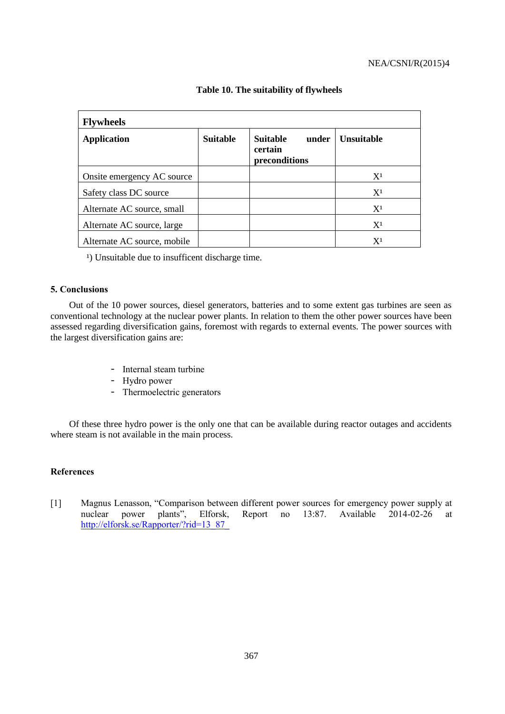| <b>Flywheels</b>            |                 |                                                      |                           |  |  |
|-----------------------------|-----------------|------------------------------------------------------|---------------------------|--|--|
| <b>Application</b>          | <b>Suitable</b> | <b>Suitable</b><br>under<br>certain<br>preconditions | <b>Unsuitable</b>         |  |  |
| Onsite emergency AC source  |                 |                                                      | $X^1$                     |  |  |
| Safety class DC source      |                 |                                                      | $X^1$                     |  |  |
| Alternate AC source, small  |                 |                                                      | $X^1$                     |  |  |
| Alternate AC source, large  |                 |                                                      | X <sup>1</sup>            |  |  |
| Alternate AC source, mobile |                 |                                                      | $\mathbf{X}^{\mathbf{1}}$ |  |  |

## **Table 10. The suitability of flywheels**

<sup>1</sup>) Unsuitable due to insufficent discharge time.

## **5. Conclusions**

Out of the 10 power sources, diesel generators, batteries and to some extent gas turbines are seen as conventional technology at the nuclear power plants. In relation to them the other power sources have been assessed regarding diversification gains, foremost with regards to external events. The power sources with the largest diversification gains are:

- Internal steam turbine
- Hydro power
- Thermoelectric generators

Of these three hydro power is the only one that can be available during reactor outages and accidents where steam is not available in the main process.

# **References**

[1] Magnus Lenasson, "Comparison between different power sources for emergency power supply at nuclear power plants", Elforsk, Report no 13:87. Available 2014-02-26 at nuclear power plants", Elforsk, Report no 13:87. Available 2014-02-26 at [http://elforsk.se/Rapporter/?rid=13\\_87\\_](http://elforsk.se/Rapporter/?rid=13_87_)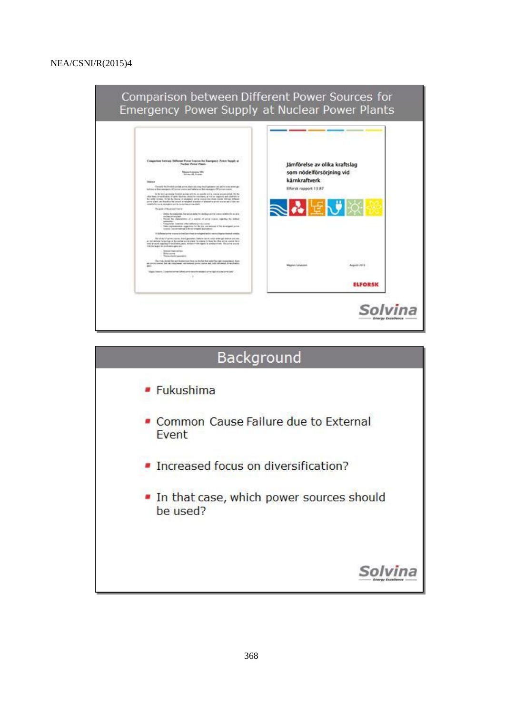

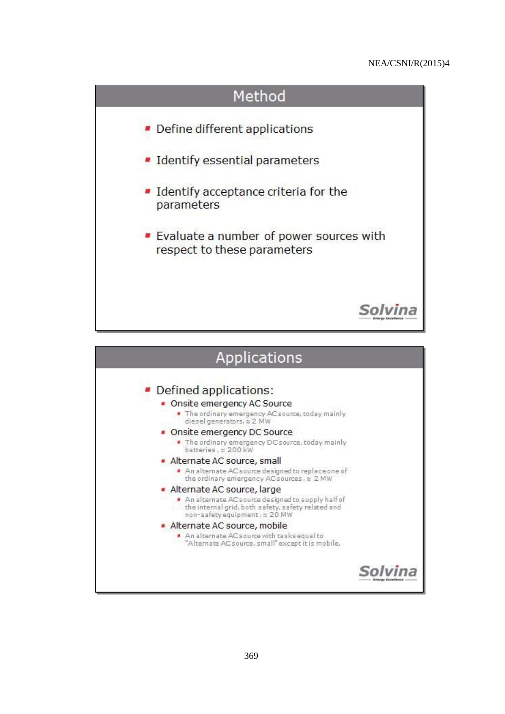

| Applications                                                                                                                                                                                                                                                                                                                                                                                                                                                                                                                                                                                                                                                                                        |  |
|-----------------------------------------------------------------------------------------------------------------------------------------------------------------------------------------------------------------------------------------------------------------------------------------------------------------------------------------------------------------------------------------------------------------------------------------------------------------------------------------------------------------------------------------------------------------------------------------------------------------------------------------------------------------------------------------------------|--|
| • Defined applications:<br>• Onsite emergency AC Source<br>The ordinary emergency AC source, today mainly<br>diesel generators, $\approx$ 2 MW<br>Onsite emergency DC Source<br>. The ordinary emergency DC source, today mainly<br>batteries, x 200 kW<br>Alternate AC source, small<br>An alternate AC source designed to replace one of<br>the ordinary emergency AC sources, x 2 MW<br>Alternate AC source, large<br>An alternate AC source designed to supply half of<br>the internal grid, both safety, safety related and<br>non-safety equipment, x 20 MW<br>Alternate AC source, mobile<br>An alternate AC source with tasks equal to<br>"Alternate AC source, small" except it is mobile. |  |
|                                                                                                                                                                                                                                                                                                                                                                                                                                                                                                                                                                                                                                                                                                     |  |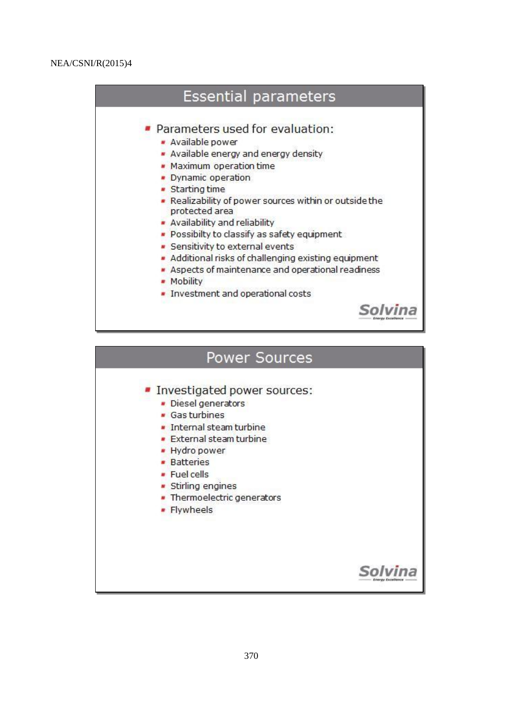# **Essential parameters**

- · Parameters used for evaluation:
	- · Available power
	- Available energy and energy density
	- Maximum operation time
	- Dynamic operation
	- Starting time
	- . Realizability of power sources within or outside the protected area
	- Availability and reliability
	- Possibilty to classify as safety equipment
	- · Sensitivity to external events
	- Additional risks of challenging existing equipment
	- Aspects of maintenance and operational readiness
	- Mobility
	- . Investment and operational costs



# Power Sources

- Investigated power sources:
	- · Diesel generators
	- · Gas turbines
	- · Internal steam turbine
	- **External steam turbine**
	- · Hydro power
	- **Batteries**
	- Fuel cells
	- · Stirling engines
	- · Thermoelectric generators
	- Flywheels

# Solvina